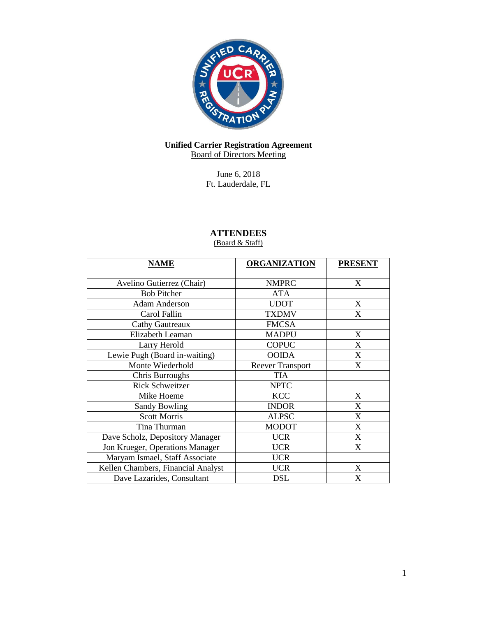

## **Unified Carrier Registration Agreement** Board of Directors Meeting

June 6, 2018 Ft. Lauderdale, FL

# **ATTENDEES**

# (Board & Staff)

| <b>NAME</b>                        | <b>ORGANIZATION</b>     | <b>PRESENT</b> |
|------------------------------------|-------------------------|----------------|
| Avelino Gutierrez (Chair)          | <b>NMPRC</b>            | X              |
| <b>Bob Pitcher</b>                 | <b>ATA</b>              |                |
| <b>Adam Anderson</b>               | <b>UDOT</b>             | X              |
| Carol Fallin                       | <b>TXDMV</b>            | X              |
| <b>Cathy Gautreaux</b>             | <b>FMCSA</b>            |                |
| Elizabeth Leaman                   | <b>MADPU</b>            | X              |
| Larry Herold                       | <b>COPUC</b>            | $\mathbf{X}$   |
| Lewie Pugh (Board in-waiting)      | <b>OOIDA</b>            | X              |
| Monte Wiederhold                   | <b>Reever Transport</b> | X              |
| Chris Burroughs                    | <b>TIA</b>              |                |
| <b>Rick Schweitzer</b>             | <b>NPTC</b>             |                |
| Mike Hoeme                         | <b>KCC</b>              | X              |
| <b>Sandy Bowling</b>               | <b>INDOR</b>            | X              |
| <b>Scott Morris</b>                | <b>ALPSC</b>            | X              |
| Tina Thurman                       | <b>MODOT</b>            | X              |
| Dave Scholz, Depository Manager    | <b>UCR</b>              | X              |
| Jon Krueger, Operations Manager    | <b>UCR</b>              | X              |
| Maryam Ismael, Staff Associate     | <b>UCR</b>              |                |
| Kellen Chambers, Financial Analyst | <b>UCR</b>              | X              |
| Dave Lazarides, Consultant         | <b>DSL</b>              | X              |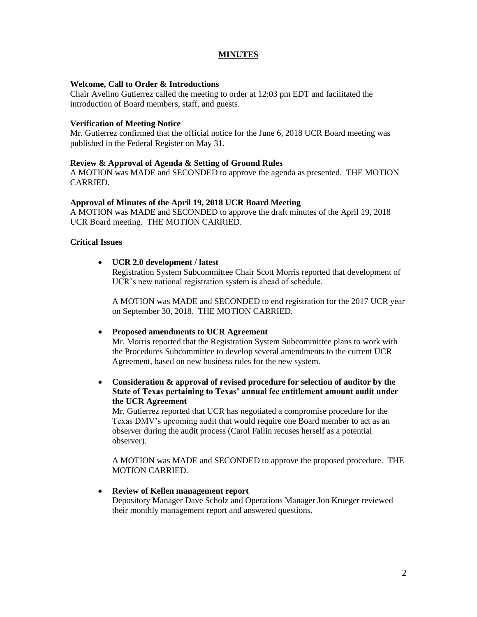# **MINUTES**

#### **Welcome, Call to Order & Introductions**

Chair Avelino Gutierrez called the meeting to order at 12:03 pm EDT and facilitated the introduction of Board members, staff, and guests.

#### **Verification of Meeting Notice**

Mr. Gutierrez confirmed that the official notice for the June 6, 2018 UCR Board meeting was published in the Federal Register on May 31.

#### **Review & Approval of Agenda & Setting of Ground Rules**

A MOTION was MADE and SECONDED to approve the agenda as presented. THE MOTION CARRIED.

#### **Approval of Minutes of the April 19, 2018 UCR Board Meeting**

A MOTION was MADE and SECONDED to approve the draft minutes of the April 19, 2018 UCR Board meeting. THE MOTION CARRIED.

#### **Critical Issues**

#### **UCR 2.0 development / latest**

Registration System Subcommittee Chair Scott Morris reported that development of UCR's new national registration system is ahead of schedule.

A MOTION was MADE and SECONDED to end registration for the 2017 UCR year on September 30, 2018. THE MOTION CARRIED.

#### **Proposed amendments to UCR Agreement**

Mr. Morris reported that the Registration System Subcommittee plans to work with the Procedures Subcommittee to develop several amendments to the current UCR Agreement, based on new business rules for the new system.

 **Consideration & approval of revised procedure for selection of auditor by the State of Texas pertaining to Texas' annual fee entitlement amount audit under the UCR Agreement**

Mr. Gutierrez reported that UCR has negotiated a compromise procedure for the Texas DMV's upcoming audit that would require one Board member to act as an observer during the audit process (Carol Fallin recuses herself as a potential observer).

A MOTION was MADE and SECONDED to approve the proposed procedure. THE MOTION CARRIED.

#### **Review of Kellen management report**

Depository Manager Dave Scholz and Operations Manager Jon Krueger reviewed their monthly management report and answered questions.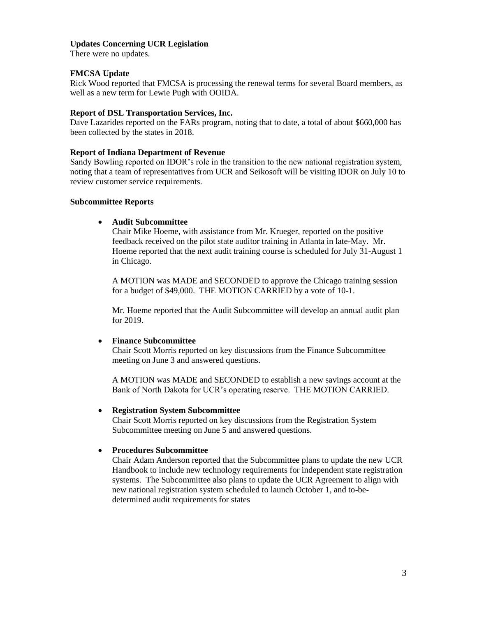## **Updates Concerning UCR Legislation**

There were no updates.

## **FMCSA Update**

Rick Wood reported that FMCSA is processing the renewal terms for several Board members, as well as a new term for Lewie Pugh with OOIDA.

#### **Report of DSL Transportation Services, Inc.**

Dave Lazarides reported on the FARs program, noting that to date, a total of about \$660,000 has been collected by the states in 2018.

#### **Report of Indiana Department of Revenue**

Sandy Bowling reported on IDOR's role in the transition to the new national registration system, noting that a team of representatives from UCR and Seikosoft will be visiting IDOR on July 10 to review customer service requirements.

#### **Subcommittee Reports**

## **Audit Subcommittee**

Chair Mike Hoeme, with assistance from Mr. Krueger, reported on the positive feedback received on the pilot state auditor training in Atlanta in late-May. Mr. Hoeme reported that the next audit training course is scheduled for July 31-August 1 in Chicago.

A MOTION was MADE and SECONDED to approve the Chicago training session for a budget of \$49,000. THE MOTION CARRIED by a vote of 10-1.

Mr. Hoeme reported that the Audit Subcommittee will develop an annual audit plan for 2019.

## **Finance Subcommittee**

Chair Scott Morris reported on key discussions from the Finance Subcommittee meeting on June 3 and answered questions.

A MOTION was MADE and SECONDED to establish a new savings account at the Bank of North Dakota for UCR's operating reserve. THE MOTION CARRIED.

## **Registration System Subcommittee**

Chair Scott Morris reported on key discussions from the Registration System Subcommittee meeting on June 5 and answered questions.

## **Procedures Subcommittee**

Chair Adam Anderson reported that the Subcommittee plans to update the new UCR Handbook to include new technology requirements for independent state registration systems. The Subcommittee also plans to update the UCR Agreement to align with new national registration system scheduled to launch October 1, and to-bedetermined audit requirements for states